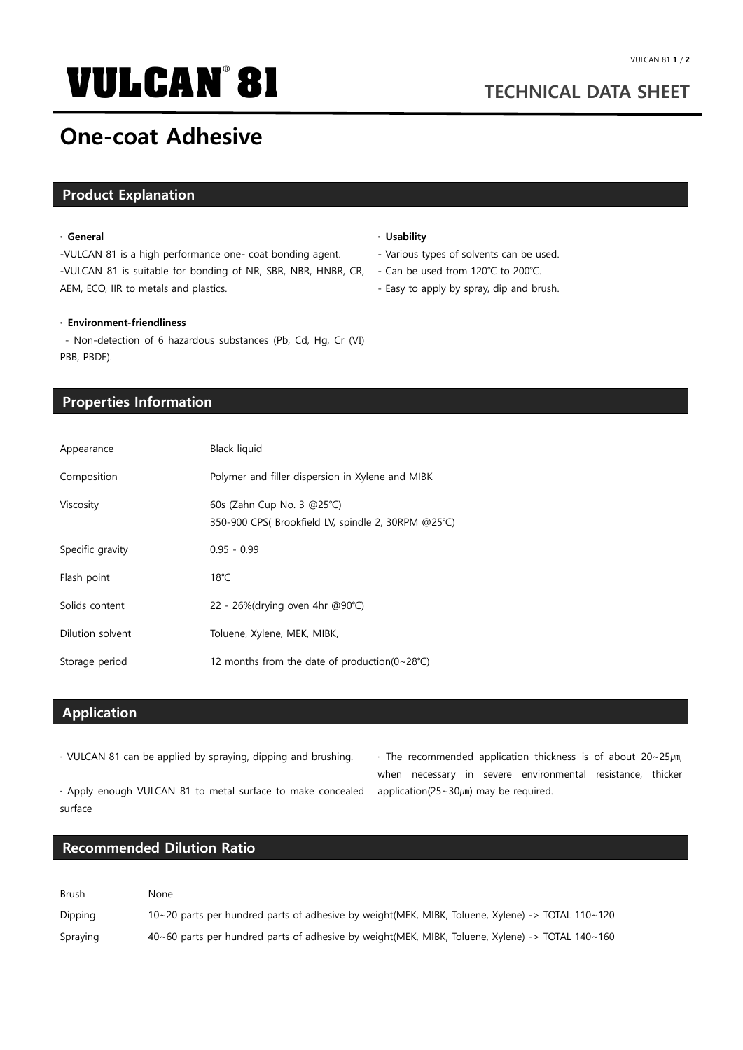# **VULCAN 81 TECHNICAL DATA SHEET** ®

## **One-coat Adhesive**

#### **Product Explanation**

#### **· General**

-VULCAN 81 is a high performance one- coat bonding agent. -VULCAN 81 is suitable for bonding of NR, SBR, NBR, HNBR, CR, AEM, ECO, IIR to metals and plastics.

#### **· Usability**

- Various types of solvents can be used.
- Can be used from 120℃ to 200℃.
- Easy to apply by spray, dip and brush.

#### **· Environment-friendliness**

- Non-detection of 6 hazardous substances (Pb, Cd, Hg, Cr (Ⅵ) PBB, PBDE).

### **Properties Information**

| Appearance       | Black liquid                                                                    |
|------------------|---------------------------------------------------------------------------------|
| Composition      | Polymer and filler dispersion in Xylene and MIBK                                |
| Viscosity        | 60s (Zahn Cup No. 3 @25°C)<br>350-900 CPS(Brookfield LV, spindle 2, 30RPM @25℃) |
| Specific gravity | $0.95 - 0.99$                                                                   |
| Flash point      | $18^{\circ}$ C                                                                  |
| Solids content   | 22 - 26%(drying oven 4hr @90°C)                                                 |
| Dilution solvent | Toluene, Xylene, MEK, MIBK,                                                     |
| Storage period   | 12 months from the date of production( $0 \sim 28$ °C)                          |

### **Application**

· VULCAN 81 can be applied by spraying, dipping and brushing.

· The recommended application thickness is of about 20~25㎛, when necessary in severe environmental resistance, thicker application(25~30µm) may be required.

· Apply enough VULCAN 81 to metal surface to make concealed surface

#### **Recommended Dilution Ratio**

| Brush    | <b>None</b>                                                                                      |
|----------|--------------------------------------------------------------------------------------------------|
| Dipping  | 10~20 parts per hundred parts of adhesive by weight(MEK, MIBK, Toluene, Xylene) -> TOTAL 110~120 |
| Spraying | 40~60 parts per hundred parts of adhesive by weight(MEK, MIBK, Toluene, Xylene) -> TOTAL 140~160 |